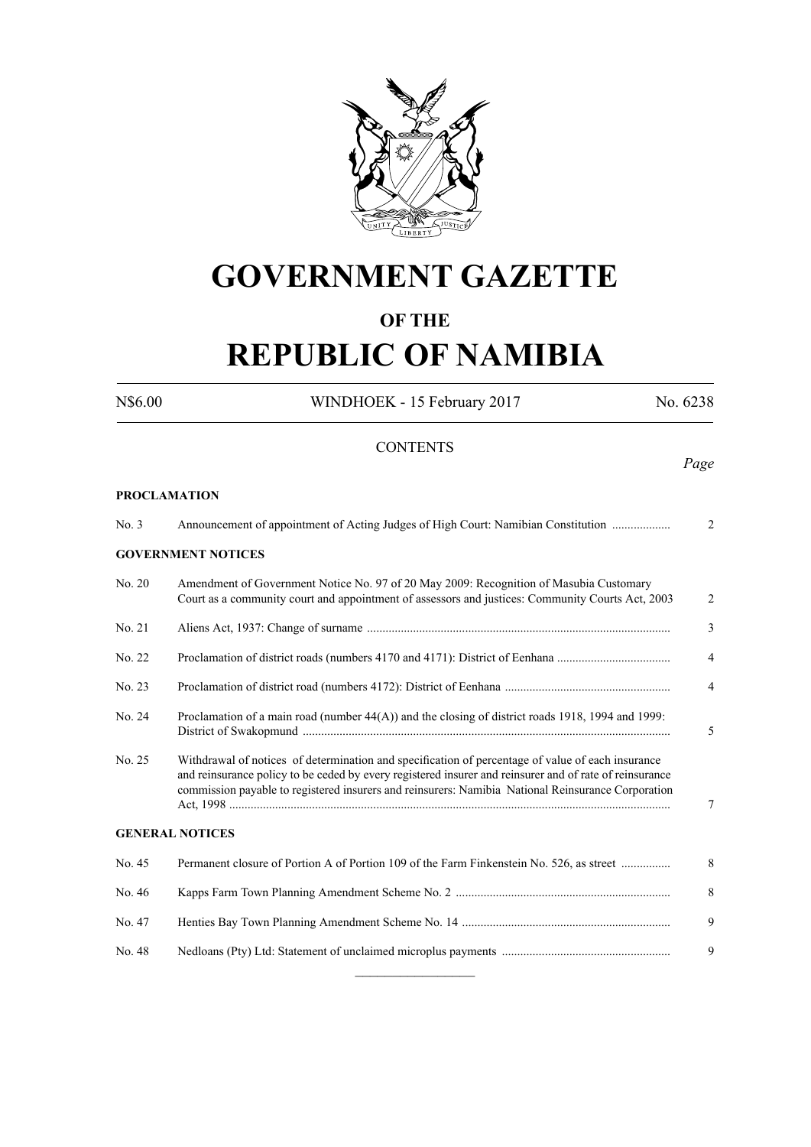

# **GOVERNMENT GAZETTE**

# **OF THE**

# **REPUBLIC OF NAMIBIA**

N\$6.00 WINDHOEK - 15 February 2017 No. 6238

**CONTENTS** *Page* **PROCLAMATION** No. 3 Announcement of appointment of Acting Judges of High Court: Namibian Constitution ................... 2 **GOVERNMENT NOTICES** No. 20 Amendment of Government Notice No. 97 of 20 May 2009: Recognition of Masubia Customary Court as a community court and appointment of assessors and justices: Community Courts Act, 2003 2 No. 21 Aliens Act, 1937: Change of surname ................................................................................................... 3 No. 22 Proclamation of district roads (numbers 4170 and 4171): District of Eenhana ..................................... 4 No. 23 Proclamation of district road (numbers 4172): District of Eenhana ...................................................... 4 No. 24 Proclamation of a main road (number 44(A)) and the closing of district roads 1918, 1994 and 1999: District of Swakopmund ........................................................................................................................ 5 No. 25 Withdrawal of notices of determination and specification of percentage of value of each insurance and reinsurance policy to be ceded by every registered insurer and reinsurer and of rate of reinsurance commission payable to registered insurers and reinsurers: Namibia National Reinsurance Corporation Act, 1998 ................................................................................................................................................ 7 **GENERAL NOTICES**

| No. 45 | Permanent closure of Portion A of Portion 109 of the Farm Finkenstein No. 526, as street | 8 |
|--------|------------------------------------------------------------------------------------------|---|
| No. 46 |                                                                                          | 8 |
| No. 47 |                                                                                          | 9 |
| No. 48 |                                                                                          | 9 |
|        |                                                                                          |   |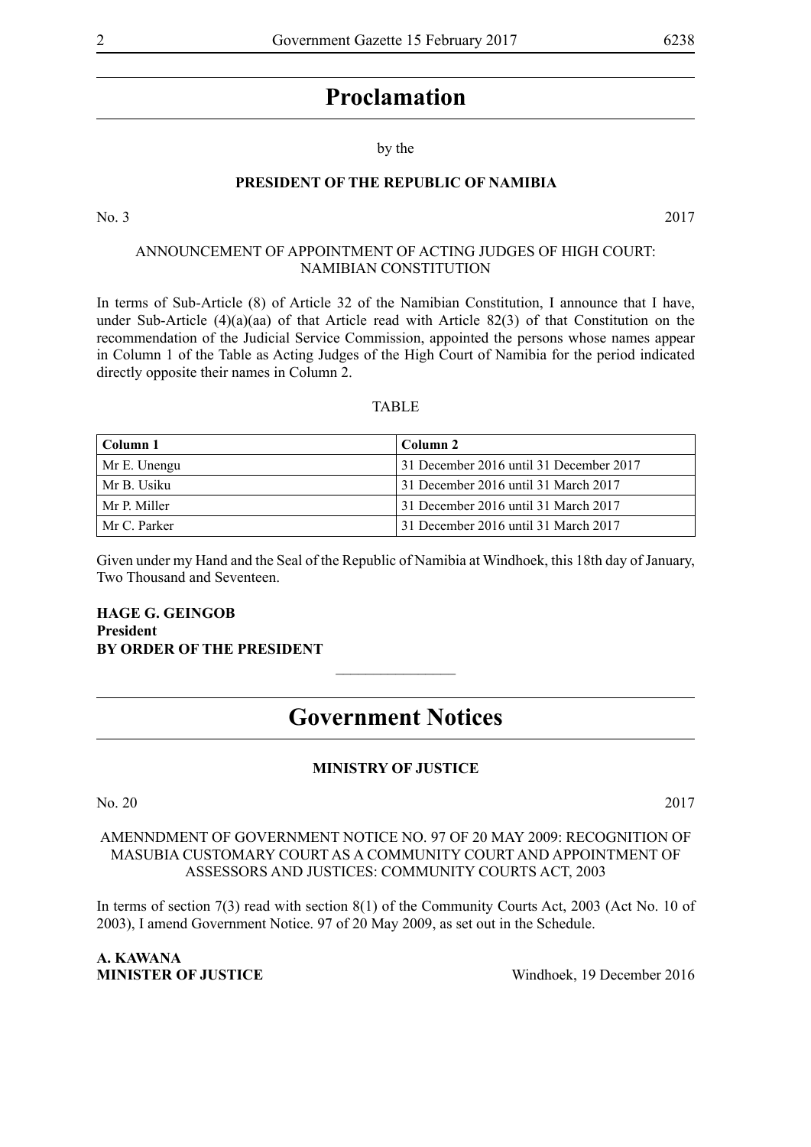# by the

#### **PRESIDENT OF THE REPUBLIC OF NAMIBIA**

No. 3 2017

#### ANNOUNCEMENT OF APPOINTMENT OF ACTING JUDGES OF HIGH COURT: NAMIBIAN CONSTITUTION

In terms of Sub-Article (8) of Article 32 of the Namibian Constitution, I announce that I have, under Sub-Article (4)(a)(aa) of that Article read with Article 82(3) of that Constitution on the recommendation of the Judicial Service Commission, appointed the persons whose names appear in Column 1 of the Table as Acting Judges of the High Court of Namibia for the period indicated directly opposite their names in Column 2.

#### TABLE

| -Column 1    | Column 2                                |
|--------------|-----------------------------------------|
| Mr E. Unengu | 31 December 2016 until 31 December 2017 |
| Mr B. Usiku  | 31 December 2016 until 31 March 2017    |
| Mr P. Miller | 31 December 2016 until 31 March 2017    |
| Mr C. Parker | 31 December 2016 until 31 March 2017    |

Given under my Hand and the Seal of the Republic of Namibia at Windhoek, this 18th day of January, Two Thousand and Seventeen.

#### **Hage G. Geingob President BY ORDER OF THE PRESIDENT**

# **Government Notices**

 $\frac{1}{2}$ 

# **MINISTRY OF JUSTICE**

No. 20 2017

#### AMENNDMENT OF GOVERNMENT NOTICE NO. 97 OF 20 MAY 2009: RECOGNITION OF MASUBIA CUSTOMARY COURT AS A COMMUNITY COURT AND APPOINTMENT OF ASSESSORS AND JUSTICES: COMMUNITY COURTS ACT, 2003

In terms of section 7(3) read with section 8(1) of the Community Courts Act, 2003 (Act No. 10 of 2003), I amend Government Notice. 97 of 20 May 2009, as set out in the Schedule.

**A. KAWANA MINISTER OF JUSTICE** Windhoek, 19 December 2016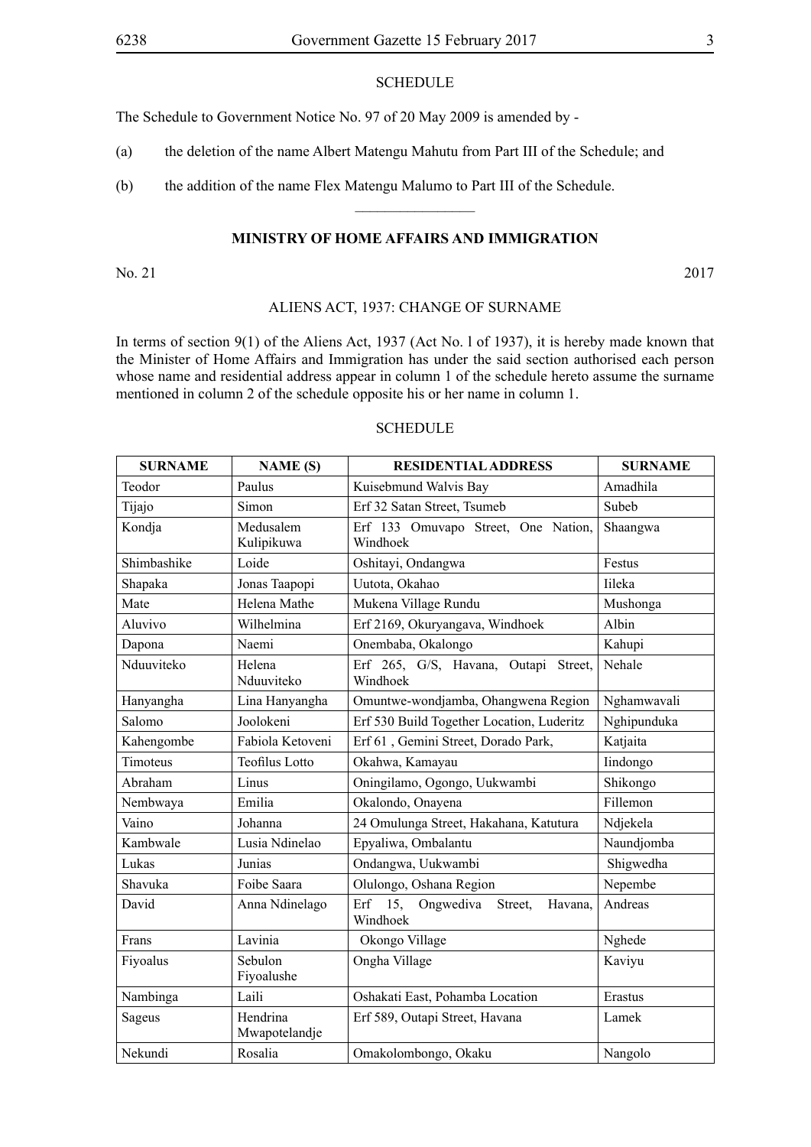## **SCHEDULE**

The Schedule to Government Notice No. 97 of 20 May 2009 is amended by -

- (a) the deletion of the name Albert Matengu Mahutu from Part III of the Schedule; and
- (b) the addition of the name Flex Matengu Malumo to Part III of the Schedule.

#### **MINISTRY OF HOME AFFAIRS AND IMMIGRATION**

 $\overline{\phantom{a}}$  , where  $\overline{\phantom{a}}$ 

No. 21 2017

# ALIENS ACT, 1937: CHANGE OF SURNAME

In terms of section 9(1) of the Aliens Act, 1937 (Act No. l of 1937), it is hereby made known that the Minister of Home Affairs and Immigration has under the said section authorised each person whose name and residential address appear in column 1 of the schedule hereto assume the surname mentioned in column 2 of the schedule opposite his or her name in column 1.

# **SCHEDULE**

| <b>SURNAME</b> | <b>NAME</b> (S)           | <b>RESIDENTIAL ADDRESS</b>                                | <b>SURNAME</b> |
|----------------|---------------------------|-----------------------------------------------------------|----------------|
| Teodor         | Paulus                    | Kuisebmund Walvis Bay                                     | Amadhila       |
| Tijajo         | Simon                     | Erf 32 Satan Street, Tsumeb                               | Subeb          |
| Kondja         | Medusalem<br>Kulipikuwa   | Erf 133 Omuvapo Street, One Nation,<br>Windhoek           | Shaangwa       |
| Shimbashike    | Loide                     | Oshitayi, Ondangwa                                        | Festus         |
| Shapaka        | Jonas Taapopi             | Uutota, Okahao                                            | Iileka         |
| Mate           | Helena Mathe              | Mukena Village Rundu                                      | Mushonga       |
| Aluvivo        | Wilhelmina                | Erf 2169, Okuryangava, Windhoek                           | Albin          |
| Dapona         | Naemi                     | Onembaba, Okalongo                                        | Kahupi         |
| Nduuviteko     | Helena<br>Nduuviteko      | Erf 265, G/S, Havana, Outapi Street,<br>Windhoek          | Nehale         |
| Hanyangha      | Lina Hanyangha            | Omuntwe-wondjamba, Ohangwena Region                       | Nghamwavali    |
| Salomo         | Joolokeni                 | Erf 530 Build Together Location, Luderitz                 | Nghipunduka    |
| Kahengombe     | Fabiola Ketoveni          | Erf 61, Gemini Street, Dorado Park,                       | Katjaita       |
| Timoteus       | <b>Teofilus Lotto</b>     | Okahwa, Kamayau                                           | Iindongo       |
| Abraham        | Linus                     | Oningilamo, Ogongo, Uukwambi                              | Shikongo       |
| Nembwaya       | Emilia                    | Okalondo, Onayena                                         | Fillemon       |
| Vaino          | Johanna                   | 24 Omulunga Street, Hakahana, Katutura                    | Ndjekela       |
| Kambwale       | Lusia Ndinelao            | Epyaliwa, Ombalantu                                       | Naundjomba     |
| Lukas          | Junias                    | Ondangwa, Uukwambi                                        | Shigwedha      |
| Shavuka        | Foibe Saara               | Olulongo, Oshana Region                                   | Nepembe        |
| David          | Anna Ndinelago            | 15,<br>Erf<br>Ongwediva<br>Street,<br>Havana,<br>Windhoek | Andreas        |
| Frans          | Lavinia                   | Okongo Village                                            | Nghede         |
| Fiyoalus       | Sebulon<br>Fiyoalushe     | Ongha Village                                             | Kaviyu         |
| Nambinga       | Laili                     | Oshakati East, Pohamba Location                           | Erastus        |
| Sageus         | Hendrina<br>Mwapotelandje | Erf 589, Outapi Street, Havana                            | Lamek          |
| Nekundi        | Rosalia                   | Omakolombongo, Okaku                                      | Nangolo        |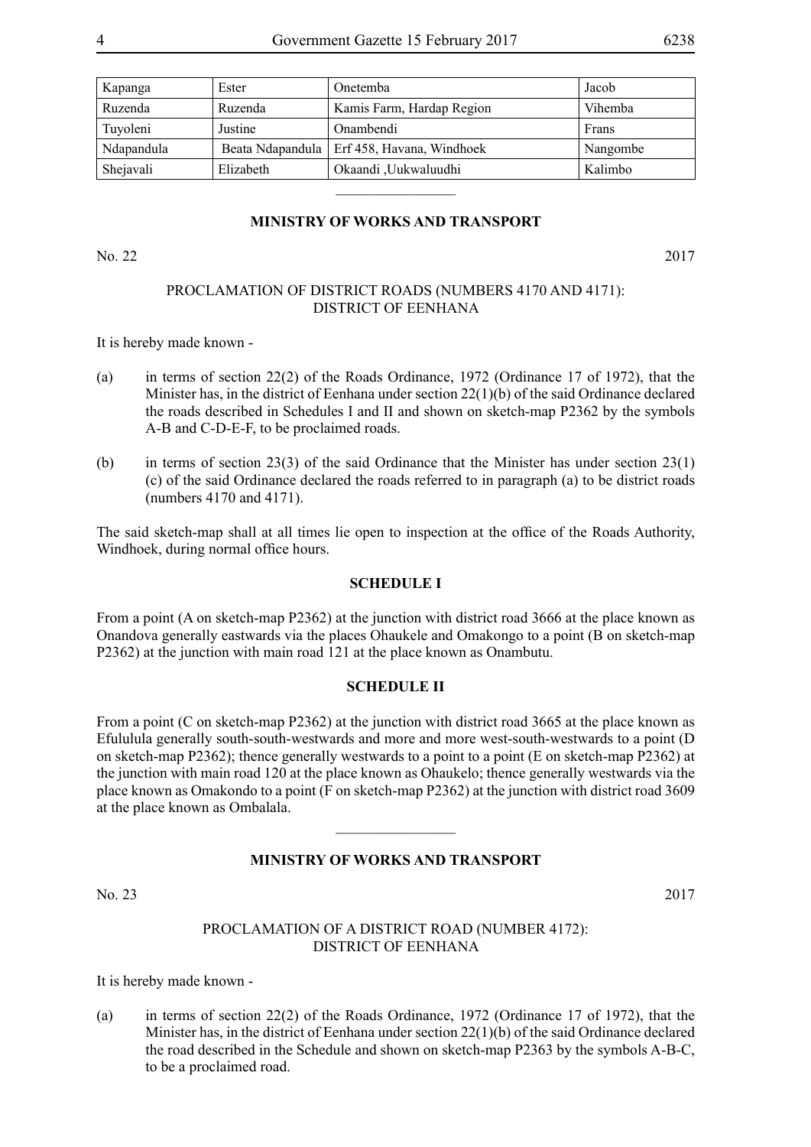| Kapanga    | Ester     | <b>Onetemba</b>                              | Jacob    |
|------------|-----------|----------------------------------------------|----------|
| Ruzenda    | Ruzenda   | Kamis Farm, Hardap Region                    | Vihemba  |
| Tuyoleni   | Justine   | Onambendi                                    | Frans    |
| Ndapandula |           | Beata Ndapandula   Erf 458, Havana, Windhoek | Nangombe |
| Shejavali  | Elizabeth | Okaandi ,Uukwaluudhi                         | Kalimbo  |

#### **MINISTRY OF WORKS AND TRANSPORT**

 $\overline{\phantom{a}}$  , where  $\overline{\phantom{a}}$ 

No. 22 2017

#### PROCLAMATION OF DISTRICT ROADS (NUMBERS 4170 AND 4171): DISTRICT OF EENHANA

It is hereby made known -

- (a) in terms of section 22(2) of the Roads Ordinance, 1972 (Ordinance 17 of 1972), that the Minister has, in the district of Eenhana under section 22(1)(b) of the said Ordinance declared the roads described in Schedules I and II and shown on sketch-map P2362 by the symbols A-B and C-D-E-F, to be proclaimed roads.
- (b) in terms of section 23(3) of the said Ordinance that the Minister has under section  $23(1)$ (c) of the said Ordinance declared the roads referred to in paragraph (a) to be district roads (numbers 4170 and 4171).

The said sketch-map shall at all times lie open to inspection at the office of the Roads Authority, Windhoek, during normal office hours.

### **SCHEDULE I**

From a point (A on sketch-map P2362) at the junction with district road 3666 at the place known as Onandova generally eastwards via the places Ohaukele and Omakongo to a point (B on sketch-map P2362) at the junction with main road 121 at the place known as Onambutu.

#### **SCHEDULE II**

From a point (C on sketch-map P2362) at the junction with district road 3665 at the place known as Efululula generally south-south-westwards and more and more west-south-westwards to a point (D on sketch-map P2362); thence generally westwards to a point to a point (E on sketch-map P2362) at the junction with main road 120 at the place known as Ohaukelo; thence generally westwards via the place known as Omakondo to a point (F on sketch-map P2362) at the junction with district road 3609 at the place known as Ombalala.

#### **MINISTRY OF WORKS AND TRANSPORT**

 $\overline{\phantom{a}}$  , where  $\overline{\phantom{a}}$ 

No. 23 2017

#### PROCLAMATION OF A DISTRICT ROAD (NUMBER 4172): DISTRICT OF EENHANA

It is hereby made known -

(a) in terms of section 22(2) of the Roads Ordinance, 1972 (Ordinance 17 of 1972), that the Minister has, in the district of Eenhana under section 22(1)(b) of the said Ordinance declared the road described in the Schedule and shown on sketch-map P2363 by the symbols A-B-C, to be a proclaimed road.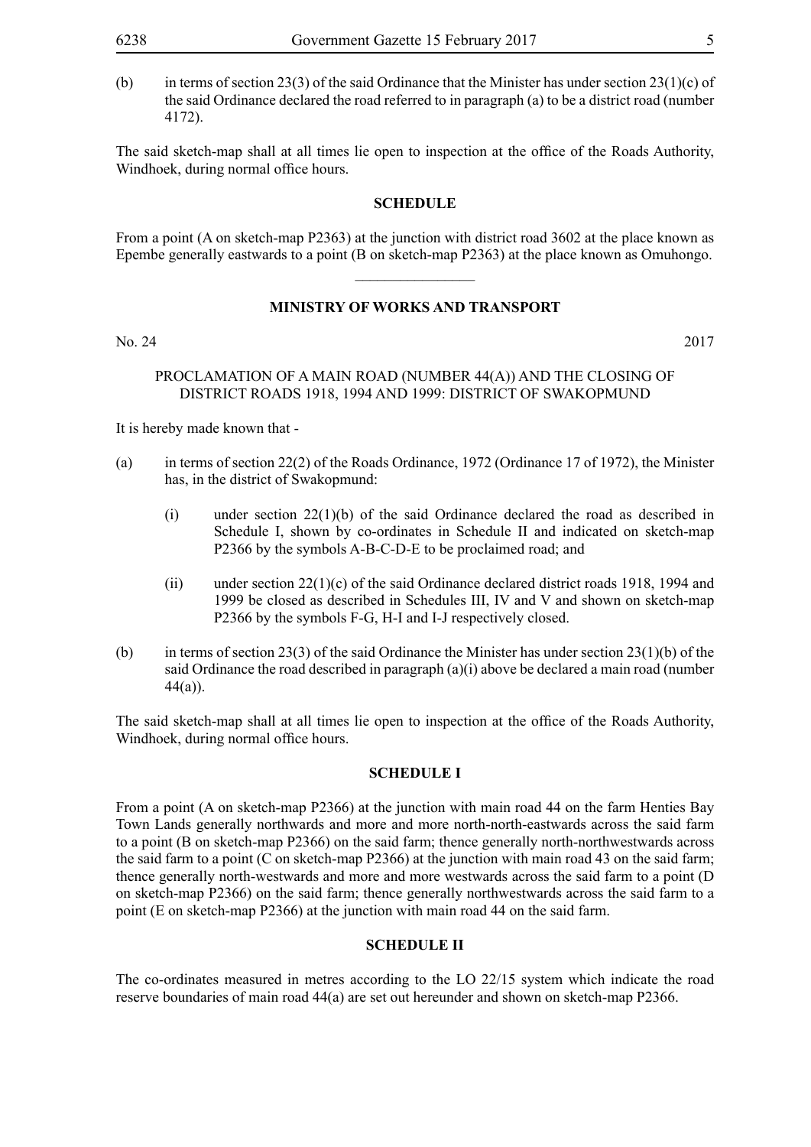(b) in terms of section 23(3) of the said Ordinance that the Minister has under section 23(1)(c) of the said Ordinance declared the road referred to in paragraph (a) to be a district road (number 4172).

The said sketch-map shall at all times lie open to inspection at the office of the Roads Authority, Windhoek, during normal office hours.

#### **SCHEDULE**

From a point (A on sketch-map P2363) at the junction with district road 3602 at the place known as Epembe generally eastwards to a point (B on sketch-map P2363) at the place known as Omuhongo.  $\overline{\phantom{a}}$  , where  $\overline{\phantom{a}}$ 

# **MINISTRY OF WORKS AND TRANSPORT**

No. 24 2017

#### PROCLAMATION OF A MAIN ROAD (NUMBER 44(A)) AND THE CLOSING OF DISTRICT ROADS 1918, 1994 AND 1999: DISTRICT OF SWAKOPMUND

It is hereby made known that -

- (a) in terms of section 22(2) of the Roads Ordinance, 1972 (Ordinance 17 of 1972), the Minister has, in the district of Swakopmund:
	- (i) under section 22(1)(b) of the said Ordinance declared the road as described in Schedule I, shown by co-ordinates in Schedule II and indicated on sketch-map P2366 by the symbols A-B-C-D-E to be proclaimed road; and
	- (ii) under section 22(1)(c) of the said Ordinance declared district roads 1918, 1994 and 1999 be closed as described in Schedules III, IV and V and shown on sketch-map P2366 by the symbols F-G, H-I and I-J respectively closed.
- (b) in terms of section 23(3) of the said Ordinance the Minister has under section 23(1)(b) of the said Ordinance the road described in paragraph  $(a)(i)$  above be declared a main road (number  $44(a)$ ).

The said sketch-map shall at all times lie open to inspection at the office of the Roads Authority, Windhoek, during normal office hours.

#### **SCHEDULE I**

From a point (A on sketch-map P2366) at the junction with main road 44 on the farm Henties Bay Town Lands generally northwards and more and more north-north-eastwards across the said farm to a point (B on sketch-map P2366) on the said farm; thence generally north-northwestwards across the said farm to a point  $(C \text{ on sketch-map } P2366)$  at the junction with main road 43 on the said farm; thence generally north-westwards and more and more westwards across the said farm to a point (D on sketch-map P2366) on the said farm; thence generally northwestwards across the said farm to a point (E on sketch-map P2366) at the junction with main road 44 on the said farm.

#### **SCHEDULE II**

The co-ordinates measured in metres according to the LO 22/15 system which indicate the road reserve boundaries of main road 44(a) are set out hereunder and shown on sketch-map P2366.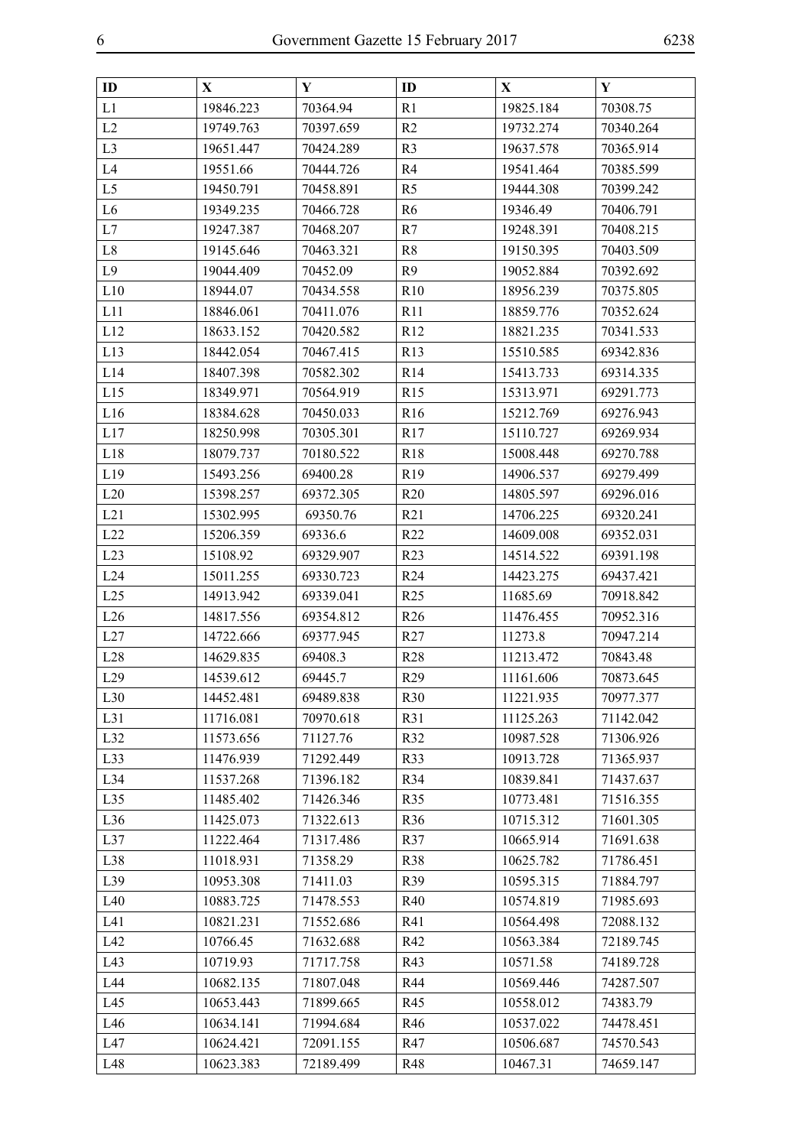| ID             | X         | Y         | ID              | X         | $\mathbf Y$ |
|----------------|-----------|-----------|-----------------|-----------|-------------|
| L1             | 19846.223 | 70364.94  | R1              | 19825.184 | 70308.75    |
| L2             | 19749.763 | 70397.659 | R <sub>2</sub>  | 19732.274 | 70340.264   |
| L <sub>3</sub> | 19651.447 | 70424.289 | R <sub>3</sub>  | 19637.578 | 70365.914   |
| L4             | 19551.66  | 70444.726 | R <sub>4</sub>  | 19541.464 | 70385.599   |
| L <sub>5</sub> | 19450.791 | 70458.891 | R <sub>5</sub>  | 19444.308 | 70399.242   |
| L <sub>6</sub> | 19349.235 | 70466.728 | R <sub>6</sub>  | 19346.49  | 70406.791   |
| L7             | 19247.387 | 70468.207 | R7              | 19248.391 | 70408.215   |
| $\rm L8$       | 19145.646 | 70463.321 | R8              | 19150.395 | 70403.509   |
| L9             | 19044.409 | 70452.09  | R <sub>9</sub>  | 19052.884 | 70392.692   |
| L10            | 18944.07  | 70434.558 | R10             | 18956.239 | 70375.805   |
| L11            | 18846.061 | 70411.076 | R11             | 18859.776 | 70352.624   |
| L12            | 18633.152 | 70420.582 | R12             | 18821.235 | 70341.533   |
| L13            | 18442.054 | 70467.415 | R13             | 15510.585 | 69342.836   |
| L14            | 18407.398 | 70582.302 | R14             | 15413.733 | 69314.335   |
| L15            | 18349.971 | 70564.919 | R15             | 15313.971 | 69291.773   |
| L16            | 18384.628 | 70450.033 | R <sub>16</sub> | 15212.769 | 69276.943   |
| L17            | 18250.998 | 70305.301 | R17             | 15110.727 | 69269.934   |
| L18            | 18079.737 | 70180.522 | R <sub>18</sub> | 15008.448 | 69270.788   |
| L19            | 15493.256 | 69400.28  | R <sub>19</sub> | 14906.537 | 69279.499   |
| L20            | 15398.257 | 69372.305 | R20             | 14805.597 | 69296.016   |
| L21            | 15302.995 | 69350.76  | R21             | 14706.225 | 69320.241   |
| L22            | 15206.359 | 69336.6   | R <sub>22</sub> | 14609.008 | 69352.031   |
| L23            | 15108.92  | 69329.907 | R23             | 14514.522 | 69391.198   |
| L24            | 15011.255 | 69330.723 | R <sub>24</sub> | 14423.275 | 69437.421   |
| L25            | 14913.942 | 69339.041 | R <sub>25</sub> | 11685.69  | 70918.842   |
| L26            | 14817.556 | 69354.812 | R <sub>26</sub> | 11476.455 | 70952.316   |
| L27            | 14722.666 | 69377.945 | R27             | 11273.8   | 70947.214   |
| L28            | 14629.835 | 69408.3   | <b>R28</b>      | 11213.472 | 70843.48    |
| L29            | 14539.612 | 69445.7   | R <sub>29</sub> | 11161.606 | 70873.645   |
| L30            | 14452.481 | 69489.838 | <b>R30</b>      | 11221.935 | 70977.377   |
| L31            | 11716.081 | 70970.618 | R31             | 11125.263 | 71142.042   |
| L32            | 11573.656 | 71127.76  | R32             | 10987.528 | 71306.926   |
| L33            | 11476.939 | 71292.449 | <b>R33</b>      | 10913.728 | 71365.937   |
| L34            | 11537.268 | 71396.182 | R34             | 10839.841 | 71437.637   |
| L35            | 11485.402 | 71426.346 | <b>R35</b>      | 10773.481 | 71516.355   |
| L36            | 11425.073 | 71322.613 | R36             | 10715.312 | 71601.305   |
| L37            | 11222.464 | 71317.486 | R37             | 10665.914 | 71691.638   |
| L38            | 11018.931 | 71358.29  | <b>R38</b>      | 10625.782 | 71786.451   |
| L39            | 10953.308 | 71411.03  | R <sub>39</sub> | 10595.315 | 71884.797   |
| L40            | 10883.725 | 71478.553 | R40             | 10574.819 | 71985.693   |
| L41            | 10821.231 | 71552.686 | R41             | 10564.498 | 72088.132   |
| L42            | 10766.45  | 71632.688 | R42             | 10563.384 | 72189.745   |
| L43            | 10719.93  | 71717.758 | R43             | 10571.58  | 74189.728   |
| L44            | 10682.135 | 71807.048 | R44             | 10569.446 | 74287.507   |
| L45            | 10653.443 | 71899.665 | R45             | 10558.012 | 74383.79    |
| L46            | 10634.141 | 71994.684 | R46             | 10537.022 | 74478.451   |
| L47            | 10624.421 | 72091.155 | R47             | 10506.687 | 74570.543   |
| L48            | 10623.383 | 72189.499 | <b>R48</b>      | 10467.31  | 74659.147   |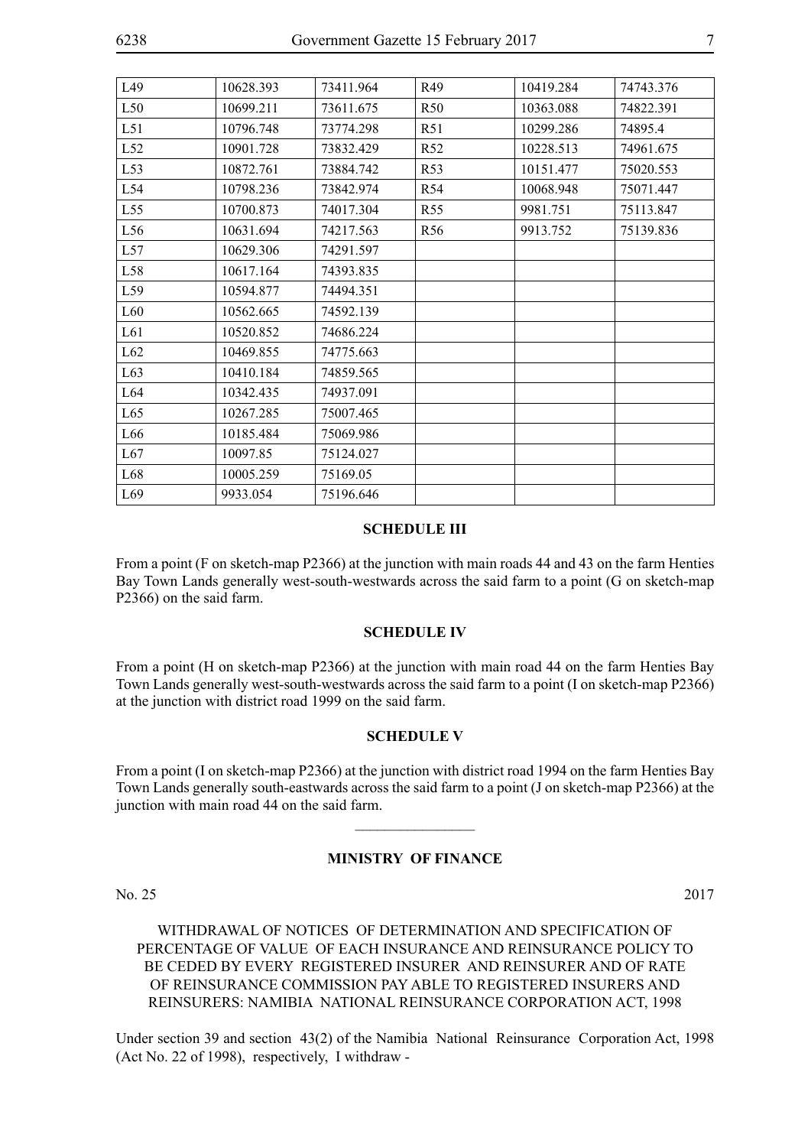| L49             | 10628.393 | 73411.964 | R49             | 10419.284 | 74743.376 |
|-----------------|-----------|-----------|-----------------|-----------|-----------|
| L50             | 10699.211 | 73611.675 | R <sub>50</sub> | 10363.088 | 74822.391 |
| L51             | 10796.748 | 73774.298 | R51             | 10299.286 | 74895.4   |
| L52             | 10901.728 | 73832.429 | R <sub>52</sub> | 10228.513 | 74961.675 |
| L53             | 10872.761 | 73884.742 | R <sub>53</sub> | 10151.477 | 75020.553 |
| L54             | 10798.236 | 73842.974 | R54             | 10068.948 | 75071.447 |
| L55             | 10700.873 | 74017.304 | R <sub>55</sub> | 9981.751  | 75113.847 |
| L <sub>56</sub> | 10631.694 | 74217.563 | R <sub>56</sub> | 9913.752  | 75139.836 |
| L57             | 10629.306 | 74291.597 |                 |           |           |
| L58             | 10617.164 | 74393.835 |                 |           |           |
| L59             | 10594.877 | 74494.351 |                 |           |           |
| L60             | 10562.665 | 74592.139 |                 |           |           |
| L61             | 10520.852 | 74686.224 |                 |           |           |
| L62             | 10469.855 | 74775.663 |                 |           |           |
| L63             | 10410.184 | 74859.565 |                 |           |           |
| L64             | 10342.435 | 74937.091 |                 |           |           |
| L65             | 10267.285 | 75007.465 |                 |           |           |
| L66             | 10185.484 | 75069.986 |                 |           |           |
| L67             | 10097.85  | 75124.027 |                 |           |           |
| L68             | 10005.259 | 75169.05  |                 |           |           |
| L69             | 9933.054  | 75196.646 |                 |           |           |

#### **SCHEDULE III**

From a point (F on sketch-map P2366) at the junction with main roads 44 and 43 on the farm Henties Bay Town Lands generally west-south-westwards across the said farm to a point (G on sketch-map P2366) on the said farm.

#### **SCHEDULE IV**

From a point (H on sketch-map P2366) at the junction with main road 44 on the farm Henties Bay Town Lands generally west-south-westwards across the said farm to a point (I on sketch-map P2366) at the junction with district road 1999 on the said farm.

#### **SCHEDULE V**

From a point (I on sketch-map P2366) at the junction with district road 1994 on the farm Henties Bay Town Lands generally south-eastwards across the said farm to a point (J on sketch-map P2366) at the junction with main road 44 on the said farm.

 $\overline{\phantom{a}}$  , where  $\overline{\phantom{a}}$ 

# **MINISTRY OF FINANCE**

No. 25 2017

WITHDRAWAL OF NOTICES OF DETERMINATION AND SPECIFICATION OF PERCENTAGE OF VALUE OF EACH INSURANCE AND REINSURANCE POLICY TO BE CEDED BY EVERY REGISTERED INSURER AND REINSURER AND OF RATE OF REINSURANCE COMMISSION PAY ABLE TO REGISTERED INSURERS AND REINSURERS: NAMIBIA NATIONAL REINSURANCE CORPORATION ACT, 1998

Under section 39 and section 43(2) of the Namibia National Reinsurance Corporation Act, 1998 (Act No. 22 of 1998), respectively, I withdraw -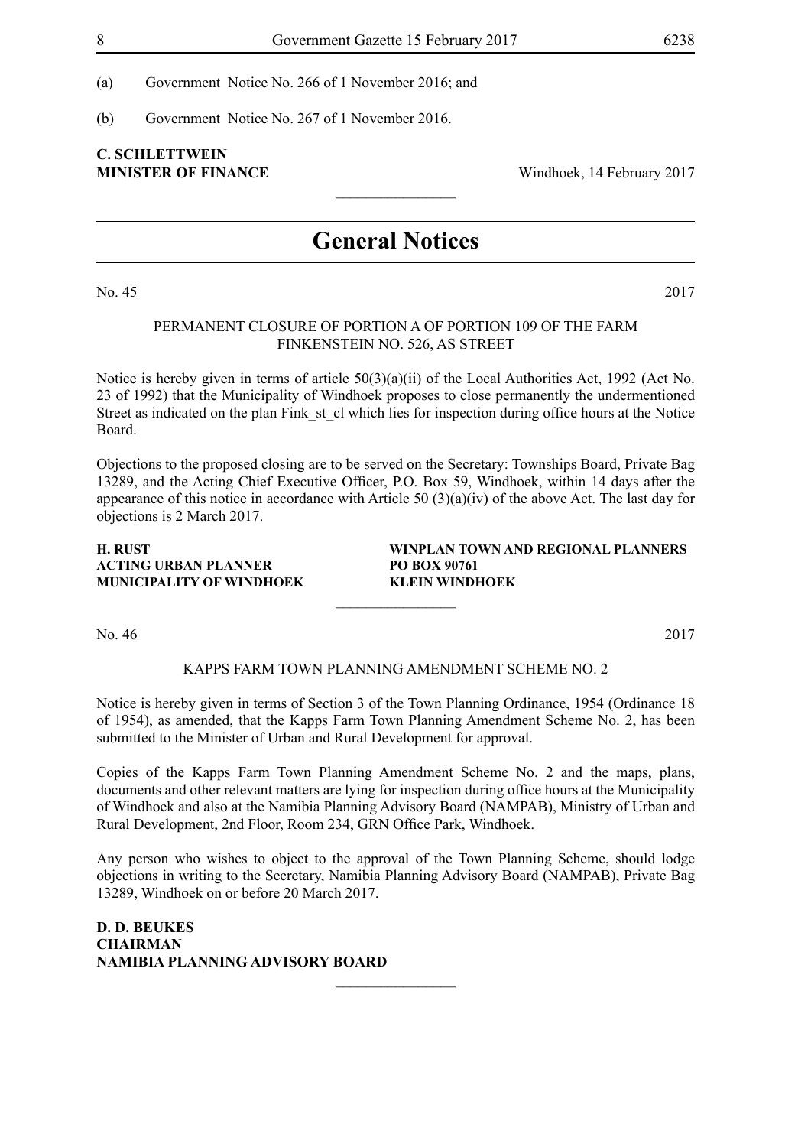(a) Government Notice No. 266 of 1 November 2016; and

(b) Government Notice No. 267 of 1 November 2016.

# **C. Schlettwein MINISTER OF FINANCE** Windhoek, 14 February 2017

# **General Notices**

 $\frac{1}{2}$ 

No. 45 2017

# PERMANENT CLOSURE OF PORTION A OF PORTION 109 OF THE FARM FINKENSTEIN NO. 526, AS STREET

Notice is hereby given in terms of article  $50(3)(a)(ii)$  of the Local Authorities Act, 1992 (Act No. 23 of 1992) that the Municipality of Windhoek proposes to close permanently the undermentioned Street as indicated on the plan Fink st cl which lies for inspection during office hours at the Notice Board.

Objections to the proposed closing are to be served on the Secretary: Townships Board, Private Bag 13289, and the Acting Chief Executive Officer, P.O. Box 59, Windhoek, within 14 days after the appearance of this notice in accordance with Article 50 (3)(a)(iv) of the above Act. The last day for objections is 2 March 2017.

#### **H. RUST WINPLAN TOWN AND REGIONAL PLANNERS ACTING URBAN PLANNER PO BOX 90761 MUNICIPALITY OF WINDHOEK KLEIN WINDHOEK**

No. 46 2017

#### KAPPS FARM TOWN PLANNING AMENDMENT SCHEME NO. 2

 $\frac{1}{2}$ 

Notice is hereby given in terms of Section 3 of the Town Planning Ordinance, 1954 (Ordinance 18 of 1954), as amended, that the Kapps Farm Town Planning Amendment Scheme No. 2, has been submitted to the Minister of Urban and Rural Development for approval.

Copies of the Kapps Farm Town Planning Amendment Scheme No. 2 and the maps, plans, documents and other relevant matters are lying for inspection during office hours at the Municipality of Windhoek and also at the Namibia Planning Advisory Board (NAMPAB), Ministry of Urban and Rural Development, 2nd Floor, Room 234, GRN Office Park, Windhoek.

Any person who wishes to object to the approval of the Town Planning Scheme, should lodge objections in writing to the Secretary, Namibia Planning Advisory Board (NAMPAB), Private Bag 13289, Windhoek on or before 20 March 2017.

 $\overline{\phantom{a}}$  , where  $\overline{\phantom{a}}$ 

**D. D. BEUKES CHAIRMAN NAMIBIA PLANNING ADVISORY BOARD**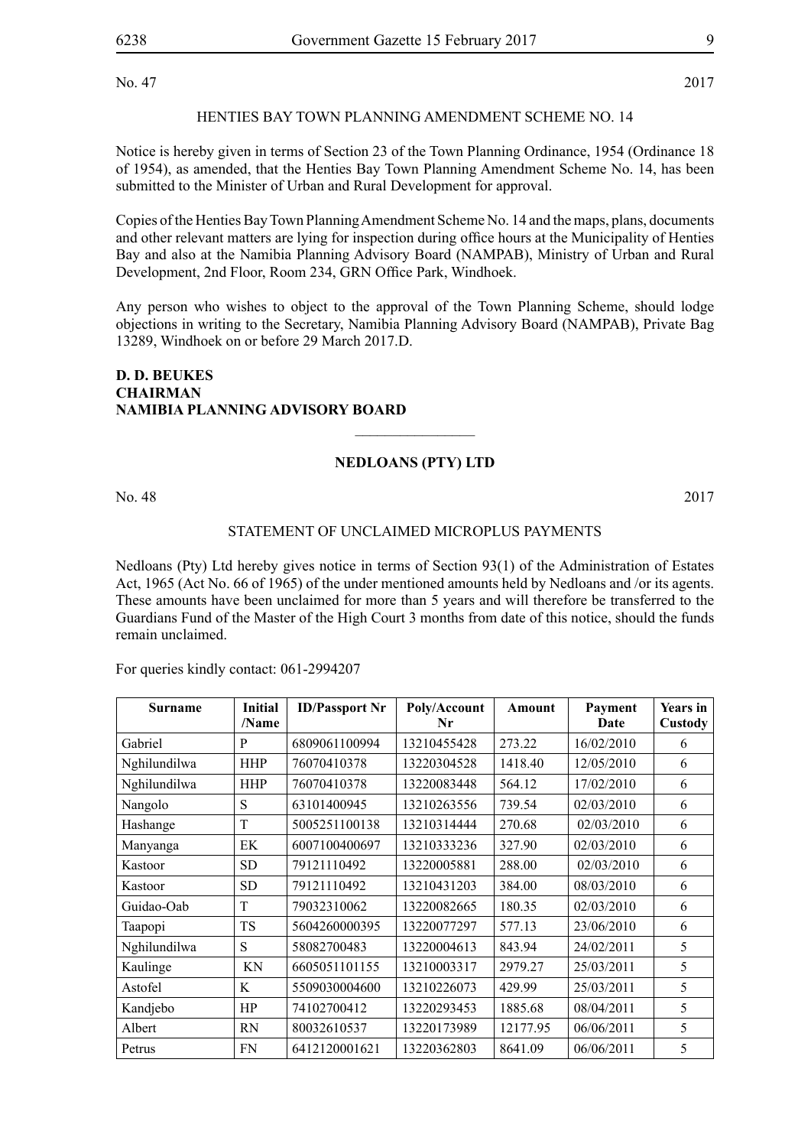No. 47 2017

# HENTIES BAY TOWN PLANNING AMENDMENT SCHEME NO. 14

Notice is hereby given in terms of Section 23 of the Town Planning Ordinance, 1954 (Ordinance 18 of 1954), as amended, that the Henties Bay Town Planning Amendment Scheme No. 14, has been submitted to the Minister of Urban and Rural Development for approval.

Copies of the Henties Bay Town Planning Amendment Scheme No. 14 and the maps, plans, documents and other relevant matters are lying for inspection during office hours at the Municipality of Henties Bay and also at the Namibia Planning Advisory Board (NAMPAB), Ministry of Urban and Rural Development, 2nd Floor, Room 234, GRN Office Park, Windhoek.

Any person who wishes to object to the approval of the Town Planning Scheme, should lodge objections in writing to the Secretary, Namibia Planning Advisory Board (NAMPAB), Private Bag 13289, Windhoek on or before 29 March 2017.D.

## **D. D. BEUKES CHAIRMAN NAMIBIA PLANNING ADVISORY BOARD**

# **Nedloans (Pty) Ltd**

 $\overline{\phantom{a}}$  , where  $\overline{\phantom{a}}$ 

No. 48 2017

# STATEMENT OF UNCLAIMED MICROPLUS PAYMENTS

Nedloans (Pty) Ltd hereby gives notice in terms of Section 93(1) of the Administration of Estates Act, 1965 (Act No. 66 of 1965) of the under mentioned amounts held by Nedloans and /or its agents. These amounts have been unclaimed for more than 5 years and will therefore be transferred to the Guardians Fund of the Master of the High Court 3 months from date of this notice, should the funds remain unclaimed.

For queries kindly contact: 061-2994207

| <b>Surname</b> | <b>Initial</b><br>/Name | <b>ID/Passport Nr</b> | Poly/Account<br>Nr | Amount   | Payment<br>Date | <b>Years</b> in<br>Custody |
|----------------|-------------------------|-----------------------|--------------------|----------|-----------------|----------------------------|
| Gabriel        | P                       | 6809061100994         | 13210455428        | 273.22   | 16/02/2010      | 6                          |
| Nghilundilwa   | <b>HHP</b>              | 76070410378           | 13220304528        | 1418.40  | 12/05/2010      | 6                          |
| Nghilundilwa   | <b>HHP</b>              | 76070410378           | 13220083448        | 564.12   | 17/02/2010      | 6                          |
| Nangolo        | S                       | 63101400945           | 13210263556        | 739.54   | 02/03/2010      | 6                          |
| Hashange       | T                       | 5005251100138         | 13210314444        | 270.68   | 02/03/2010      | 6                          |
| Manyanga       | EK                      | 6007100400697         | 13210333236        | 327.90   | 02/03/2010      | 6                          |
| Kastoor        | <b>SD</b>               | 79121110492           | 13220005881        | 288.00   | 02/03/2010      | 6                          |
| Kastoor        | <b>SD</b>               | 79121110492           | 13210431203        | 384.00   | 08/03/2010      | 6                          |
| Guidao-Oab     | T                       | 79032310062           | 13220082665        | 180.35   | 02/03/2010      | 6                          |
| Taapopi        | <b>TS</b>               | 5604260000395         | 13220077297        | 577.13   | 23/06/2010      | 6                          |
| Nghilundilwa   | S                       | 58082700483           | 13220004613        | 843.94   | 24/02/2011      | 5                          |
| Kaulinge       | KN                      | 6605051101155         | 13210003317        | 2979.27  | 25/03/2011      | 5                          |
| Astofel        | K                       | 5509030004600         | 13210226073        | 429.99   | 25/03/2011      | 5                          |
| Kandjebo       | HP                      | 74102700412           | 13220293453        | 1885.68  | 08/04/2011      | 5                          |
| Albert         | <b>RN</b>               | 80032610537           | 13220173989        | 12177.95 | 06/06/2011      | 5                          |
| Petrus         | <b>FN</b>               | 6412120001621         | 13220362803        | 8641.09  | 06/06/2011      | 5                          |